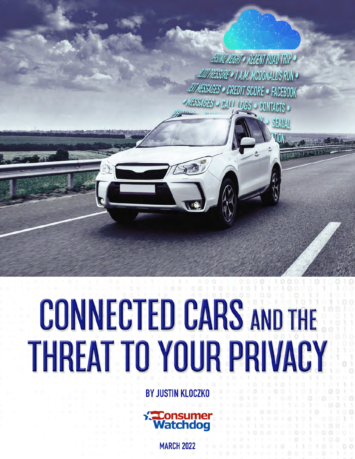ABONAL NEIGHT . RECENT ROAD TRIP . AUDIPRESSURE . 1 A.M. MCDONALDS RUN . **EIT MESSAGES . CREDIT SCORE . FACEBOOK** MESSAGES • CALL LOGS • CONTACTS •

# **CONNECTED CARS AND THE THREAT TO YOUR PRIVACY**

**BY JUSTIN KLOCZKO** 



**MARCH 2022**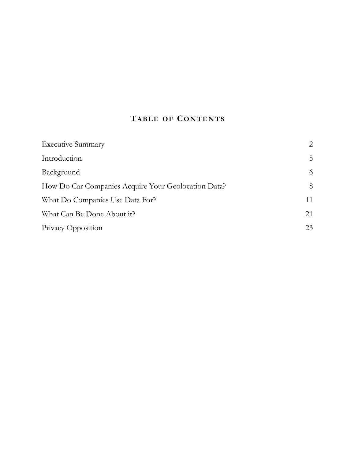# **TABLE OF CONTENTS**

| <b>Executive Summary</b>                            | 2  |
|-----------------------------------------------------|----|
| Introduction                                        | 5  |
| Background                                          | 6  |
| How Do Car Companies Acquire Your Geolocation Data? | 8  |
| What Do Companies Use Data For?                     | 11 |
| What Can Be Done About it?                          | 21 |
| Privacy Opposition                                  | 23 |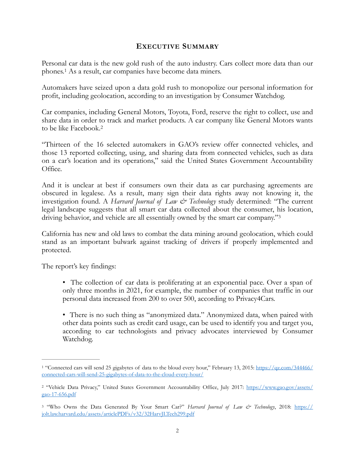#### <span id="page-2-6"></span><span id="page-2-0"></span>**EXECUTIVE SUMMARY**

<span id="page-2-4"></span>Personal car data is the new gold rush of the auto industry. Cars collect more data than our phones[.](#page-2-1)<sup>1</sup> As a result, car companies have become data miners.

Automakers have seized upon a data gold rush to monopolize our personal information for profit, including geolocation, according to an investigation by Consumer Watchdog.

<span id="page-2-5"></span>Car companies, including General Motors, Toyota, Ford, reserve the right to collect, use and share data in order to track and market products. A car company like General Motors wants to be like Facebook[.2](#page-2-2)

"Thirteen of the 16 selected automakers in GAO's review offer connected vehicles, and those 13 reported collecting, using, and sharing data from connected vehicles, such as data on a car's location and its operations," said the United States Government Accountability Office.

And it is unclear at best if consumers own their data as car purchasing agreements are obscured in legalese. As a result, many sign their data rights away not knowing it, the investigation found. A *Harvard Journal of Law & Technology* study determined: "The current legal landscape suggests that all smart car data collected about the consumer, his location, driving behavior, and vehicle are all essentially owned by the smart car company.["3](#page-2-3)

California has new and old laws to combat the data mining around geolocation, which could stand as an important bulwark against tracking of drivers if properly implemented and protected.

The report's key findings:

- The collection of car data is proliferating at an exponential pace. Over a span of only three months in 2021, for example, the number of companies that traffic in our personal data increased from 200 to over 500, according to Privacy4Cars.
- There is no such thing as "anonymized data." Anonymized data, when paired with other data points such as credit card usage, can be used to identify you and target you, according to car technologists and privacy advocates interviewed by Consumer Watchdog.

<span id="page-2-1"></span><sup>&</sup>lt;sup>[1](#page-2-4)</sup> "Connected cars will send 25 gigabytes of data to the bloud every hour," February 13, 2015: [https://qz.com/344466/](https://qz.com/344466/connected-cars-will-send-25-gigabytes-of-data-to-the-cloud-every-hour/) [connected-cars-will-send-25-gigabytes-of-data-to-the-cloud-every-hour/](https://qz.com/344466/connected-cars-will-send-25-gigabytes-of-data-to-the-cloud-every-hour/)

<span id="page-2-2"></span><sup>&</sup>lt;sup>[2](#page-2-5)</sup> "Vehicle Data Privacy," United States Government Accountability Office, July 2017: [https://www.gao.gov/assets/](https://www.gao.gov/assets/gao-17-656.pdf) [gao-17-656.pdf](https://www.gao.gov/assets/gao-17-656.pdf)

<span id="page-2-3"></span>[<sup>3</sup>](#page-2-6) "Who Owns the Data Generated By Your Smart Car?" *Harvard Journal of Law & Technology*, 2018: [https://](https://jolt.law.harvard.edu/assets/articlePDFs/v32/32HarvJLTech299.pdf) [jolt.law.harvard.edu/assets/articlePDFs/v32/32HarvJLTech299.pdf](https://jolt.law.harvard.edu/assets/articlePDFs/v32/32HarvJLTech299.pdf)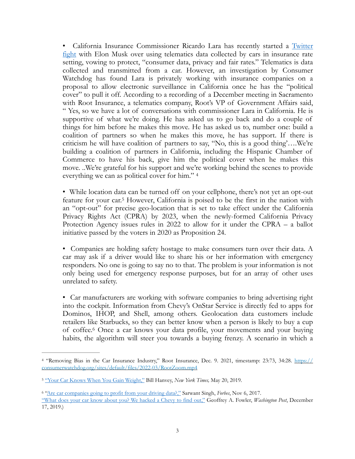• California Insurance Commissioner Ricardo Lara has recently started a Twitter [fight](https://twitter.com/ICRicardoLara/status/1486801343826194432?s=20&t=aOMacx-z0QYJNjTbphavGQ) with Elon Musk over using telematics data collected by cars in insurance rate setting, vowing to protect, "consumer data, privacy and fair rates." Telematics is data collected and transmitted from a car. However, an investigation by Consumer Watchdog has found Lara is privately working with insurance companies on a proposal to allow electronic surveillance in California once he has the "political cover" to pull it off. According to a recording of a December meeting in Sacramento with Root Insurance, a telematics company, Root's VP of Government Affairs said, " Yes, so we have a lot of conversations with commissioner Lara in California. He is supportive of what we're doing. He has asked us to go back and do a couple of things for him before he makes this move. He has asked us to, number one: build a coalition of partners so when he makes this move, he has support. If there is criticism he will have coalition of partners to say, "No, this is a good thing'….We're building a coalition of partners in California, including the Hispanic Chamber of Commerce to have his back, give him the political cover when he makes this move. ..We're grateful for his support and we're working behind the scenes to provide everything we can as political cover for him." [4](#page-3-0)

<span id="page-3-4"></span><span id="page-3-3"></span>• While location data can be turned off on your cellphone, there's not yet an opt-out feature for your car[.](#page-3-1)<sup>[5](#page-3-1)</sup> However, California is poised to be the first in the nation with an "opt-out" for precise geo-location that is set to take effect under the California Privacy Rights Act (CPRA) by 2023, when the newly-formed California Privacy Protection Agency issues rules in 2022 to allow for it under the CPRA – a ballot initiative passed by the voters in 2020 as Proposition 24.

• Companies are holding safety hostage to make consumers turn over their data. A car may ask if a driver would like to share his or her information with emergency responders. No one is going to say no to that. The problem is your information is not only being used for emergency response purposes, but for an array of other uses unrelated to safety.

<span id="page-3-5"></span>• Car manufacturers are working with software companies to bring advertising right into the cockpit. Information from Chevy's OnStar Service is directly fed to apps for Dominos, IHOP, and Shell, among others. Geolocation data customers include retailers like Starbucks, so they can better know when a person is likely to buy a cup of coffee.<sup>[6](#page-3-2)</sup> Once a car knows your data profile, your movements and your buying habits, the algorithm will steer you towards a buying frenzy. A scenario in which a

<span id="page-3-0"></span>[<sup>4</sup>](#page-3-3) "Removing Bias in the Car Insurance Industry," Root Insurance, Dec. 9. 2021, timestamp: 23:73, 34:28. [https://](https://consumerwatchdog.org/sites/default/files/2022-03/RootZoom.mp4) [consumerwatchdog.org/sites/default/files/2022-03/RootZoom.mp4](https://consumerwatchdog.org/sites/default/files/2022-03/RootZoom.mp4)

<span id="page-3-1"></span><sup>&</sup>lt;sup>5</sup> ["Your Car Knows When You Gain Weight,"](https://www.nytimes.com/2019/05/20/opinion/car-repair-data-privacy.html#:~:text=Cars%2520not%2520only%2520know%2520how,call%2520and%2520who%2520we%2520text.) Bill Hanvey, *New York Times*, May 20, 2019.

<span id="page-3-2"></span><sup>&</sup>lt;sup>6</sup> ["Are car companies going to profit from your driving data?,"](https://www.forbes.com/sites/sarwantsingh/2017/11/06/are-car-companies-going-to-profit-from-your-driving-data/?sh=1562ad88143c) Sarwant Singh, *Forbes*, Nov [6](#page-3-5), 2017.

[<sup>&</sup>quot;What does your car know about you? We hacked a Chevy to find out,"](https://www.washingtonpost.com/technology/2019/12/17/what-does-your-car-know-about-you-we-hacked-chevy-find-out/) Geoffrey A. Fowler, *Washington Post*, December 17, 2019.)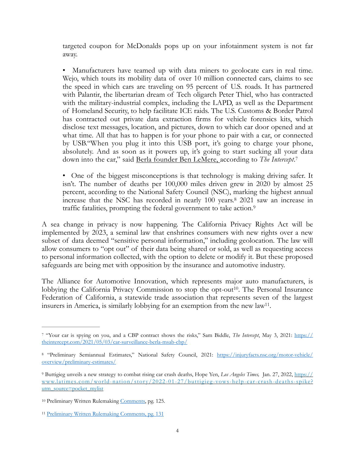targeted coupon for McDonalds pops up on your infotainment system is not far away.

• Manufacturers have teamed up with data miners to geolocate cars in real time. Wejo, which touts its mobility data of over 10 million connected cars, claims to see the speed in which cars are traveling on 95 percent of U.S. roads. It has partnered with Palantir, the libertarian dream of Tech oligarch Peter Thiel, who has contracted with the military-industrial complex, including the LAPD, as well as the Department of Homeland Security, to help facilitate ICE raids. The U.S. Customs & Border Patrol has contracted out private data extraction firms for vehicle forensics kits, which disclose text messages, location, and pictures, down to which car door opened and at what time. All that has to happen is for your phone to pair with a car, or connected by USB."When you plug it into this USB port, it's going to charge your phone, absolutely. And as soon as it powers up, it's going to start sucking all your data down into the car," said Berla [founder Ben LeMere,](https://theintercept.com/2021/05/03/car-surveillance-berla-msab-cbp/) according to *The Intercept*.[7](#page-4-0)

<span id="page-4-7"></span><span id="page-4-6"></span><span id="page-4-5"></span>• One of the biggest misconceptions is that technology is making driving safer. It isn't. The number of deaths per 100,000 miles driven grew in 2020 by almost 25 percent, according to the National Safety Council (NSC), marking the highest annual increase that the NSC has recorded in nearly 100 years.<sup>[8](#page-4-1)</sup> 2021 saw an increase in traffic fatalities, prompting the federal government to take action.[9](#page-4-2)

A sea change in privacy is now happening. The California Privacy Rights Act will be implemented by 2023, a seminal law that enshrines consumers with new rights over a new subset of data deemed "sensitive personal information," including geolocation. The law will allow consumers to "opt out" of their data being shared or sold, as well as requesting access to personal information collected, with the option to delete or modify it. But these proposed safeguards are being met with opposition by the insurance and automotive industry.

<span id="page-4-9"></span><span id="page-4-8"></span>The Alliance for Automotive Innovation, which represents major auto manufacturers, is lobbying the California Privacy Commission to stop the opt-out<sup>[10](#page-4-3)</sup>. The Personal Insurance Federation of California, a statewide trade association that represents seven of the largest insurers in America, is similarly lobbying for an exemption from the new law<sup>[11](#page-4-4)</sup>.

<span id="page-4-0"></span>[<sup>7</sup>](#page-4-5) "Your car is spying on you, and a CBP contract shows the risks," Sam Biddle, *The Intercept*, May 3, 2021: [https://](https://theintercept.com/2021/05/03/car-surveillance-berla-msab-cbp/) [theintercept.com/2021/05/03/car-surveillance-berla-msab-cbp/](https://theintercept.com/2021/05/03/car-surveillance-berla-msab-cbp/)

<span id="page-4-1"></span>[<sup>8</sup>](#page-4-6) "Preliminary Semiannual Estimates," National Safety Council, 2021: [https://injuryfacts.nsc.org/motor-vehicle/](https://injuryfacts.nsc.org/motor-vehicle/overview/preliminary-estimates/) [overview/preliminary-estimates/](https://injuryfacts.nsc.org/motor-vehicle/overview/preliminary-estimates/)

<span id="page-4-2"></span>[<sup>9</sup>](#page-4-7) Buttigieg unveils a new strategy to combat rising car crash deaths, Hope Yen, *Los Angeles Times,* Jan. 27, 2022, [https://](https://www.latimes.com/world-nation/story/2022-01-27/buttigieg-vows-help-car-crash-deaths-spike?utm_source=pocket_mylist) [www.latimes.com/world-nation/stor y/2022-01-27/buttigieg-vows-help-car-crash-deaths-spike?](https://www.latimes.com/world-nation/story/2022-01-27/buttigieg-vows-help-car-crash-deaths-spike?utm_source=pocket_mylist) [utm\\_source=pocket\\_mylist](https://www.latimes.com/world-nation/story/2022-01-27/buttigieg-vows-help-car-crash-deaths-spike?utm_source=pocket_mylist)

<span id="page-4-3"></span><sup>&</sup>lt;sup>10</sup> Preliminary Written Rulemaking [Comments](https://cppa.ca.gov/regulations/pdf/preliminary_rulemaking_comments_4.pdf), pg. 125.

<span id="page-4-4"></span>[<sup>11</sup>](#page-4-9) [Preliminary Written Rulemaking Comments, pg. 131](https://cppa.ca.gov/regulations/pdf/preliminary_rulemaking_comments_3.pdf)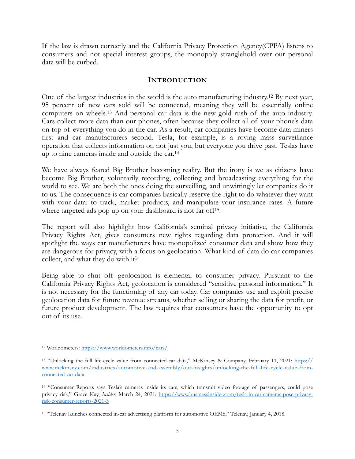If the law is drawn correctly and the California Privacy Protection Agency(CPPA) listens to consumers and not special interest groups, the monopoly stranglehold over our personal data will be curbed.

#### <span id="page-5-8"></span><span id="page-5-7"></span><span id="page-5-6"></span><span id="page-5-5"></span><span id="page-5-0"></span>**INTRODUCTION**

Oneof the largest industries in the world is the auto manufacturing industry.<sup>[12](#page-5-1)</sup> By next year, 95 percent of new cars sold will be connected, meaning they will be essentially online computerson wheels.<sup>[13](#page-5-2)</sup> And personal car data is the new gold rush of the auto industry. Cars collect more data than our phones, often because they collect all of your phone's data on top of everything you do in the car. As a result, car companies have become data miners first and car manufacturers second. Tesla, for example, is a roving mass surveillance operation that collects information on not just you, but everyone you drive past. Teslas have up to nine cameras inside and outside the car.[14](#page-5-3)

We have always feared Big Brother becoming reality. But the irony is we as citizens have become Big Brother, voluntarily recording, collecting and broadcasting everything for the world to see. We are both the ones doing the surveilling, and unwittingly let companies do it to us. The consequence is car companies basically reserve the right to do whatever they want with your data: to track, market products, and manipulate your insurance rates. A future where targeted ads pop up on your dashboard is not far off<sup>[15](#page-5-4)</sup>.

The report will also highlight how California's seminal privacy initiative, the California Privacy Rights Act, gives consumers new rights regarding data protection. And it will spotlight the ways car manufacturers have monopolized consumer data and show how they are dangerous for privacy, with a focus on geolocation. What kind of data do car companies collect, and what they do with it?

Being able to shut off geolocation is elemental to consumer privacy. Pursuant to the California Privacy Rights Act, geolocation is considered "sensitive personal information." It is not necessary for the functioning of any car today. Car companies use and exploit precise geolocation data for future revenue streams, whether selling or sharing the data for profit, or future product development. The law requires that consumers have the opportunity to opt out of its use.

<span id="page-5-1"></span>[<sup>12</sup>](#page-5-5) Worldometers:<https://www.worldometers.info/cars/>

<span id="page-5-2"></span><sup>&</sup>lt;sup>[13](#page-5-6)</sup> "Unlocking the full life-cycle value from connected-car data," McKinsey & Company, February 11, 2021: [https://](https://www.mckinsey.com/industries/automotive-and-assembly/our-insights/unlocking-the-full-life-cycle-value-from-connected-car-data) [www.mckinsey.com/industries/automotive-and-assembly/our-insights/unlocking-the-full-life-cycle-value-from](https://www.mckinsey.com/industries/automotive-and-assembly/our-insights/unlocking-the-full-life-cycle-value-from-connected-car-data)[connected-car-data](https://www.mckinsey.com/industries/automotive-and-assembly/our-insights/unlocking-the-full-life-cycle-value-from-connected-car-data)

<span id="page-5-3"></span><sup>&</sup>lt;sup>[14](#page-5-7)</sup> "Consumer Reports says Tesla's cameras inside its cars, which transmit video footage of passengers, could pose privacy risk," Grace Kay, *Insider*, March 24, 2021: [https://www.businessinsider.com/tesla-in-car-cameras-pose-privacy](https://www.businessinsider.com/tesla-in-car-cameras-pose-privacy-risk-consumer-reports-2021-3)[risk-consumer-reports-2021-3](https://www.businessinsider.com/tesla-in-car-cameras-pose-privacy-risk-consumer-reports-2021-3)

<span id="page-5-4"></span><sup>&</sup>lt;sup>[15](#page-5-8)</sup> "Telenav launches connected in-car advertising platform for automotive OEMS," Telenav, January 4, 2018.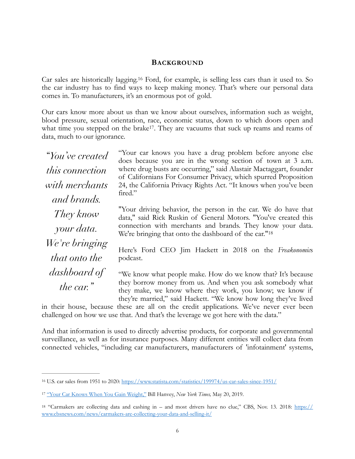#### <span id="page-6-4"></span><span id="page-6-0"></span>**BACKGROUND**

Car sales are historically lagging.<sup>[16](#page-6-1)</sup> Ford, for example, is selling less cars than it used to. So the car industry has to find ways to keep making money. That's where our personal data comes in. To manufacturers, it's an enormous pot of gold.

Our cars know more about us than we know about ourselves, information such as weight, blood pressure, sexual orientation, race, economic status, down to which doors open and what time you stepped on the brake<sup>17</sup>[.](#page-6-2) They are vacuums that suck up reams and reams of data, much to our ignorance.

*"You've created this connection with merchants and brands. They know your data. We're bringing that onto the dashboard of the car."*

<span id="page-6-5"></span>"Your car knows you have a drug problem before anyone else does because you are in the wrong section of town at 3 a.m. where drug busts are occurring," said Alastair Mactaggart, founder of Californians For Consumer Privacy, which spurred Proposition 24, the California Privacy Rights Act. "It knows when you've been fired."

<span id="page-6-6"></span>"Your driving behavior, the person in the car. We do have that data," said Rick Ruskin of General Motors. "You've created this connection with merchants and brands. They know your data. We're bringing that onto the dashboard of the car."[18](#page-6-3)

Here's Ford CEO Jim Hackett in 2018 on the *Freakonomic*s podcast.

"We know what people make. How do we know that? It's because they borrow money from us. And when you ask somebody what they make, we know where they work, you know; we know if they're married," said Hackett. "We know how long they've lived

in their house, because these are all on the credit applications. We've never ever been challenged on how we use that. And that's the leverage we got here with the data."

And that information is used to directly advertise products, for corporate and governmental surveillance, as well as for insurance purposes. Many different entities will collect data from connected vehicles, "including car manufacturers, manufacturers of 'infotainment' systems,

<span id="page-6-1"></span>[<sup>16</sup>](#page-6-4) U.S. car sales from 1951 to 2020: <https://www.statista.com/statistics/199974/us-car-sales-since-1951/>

<span id="page-6-2"></span><sup>&</sup>lt;sup>17</sup> ["Your Car Knows When You Gain Weight,"](https://www.nytimes.com/2019/05/20/opinion/car-repair-data-privacy.html#:~:text=Cars%2520not%2520only%2520know%2520how,call%2520and%2520who%2520we%2520text.) Bill Hanvey, *New York Times*, May 20, 2019.

<span id="page-6-3"></span><sup>&</sup>lt;sup>[18](#page-6-6)</sup> "Carmakers are collecting data and cashing in – and most drivers have no clue," CBS, Nov. 13. 2018: [https://](https://www.cbsnews.com/news/carmakers-are-collecting-your-data-and-selling-it/) [www.cbsnews.com/news/carmakers-are-collecting-your-data-and-selling-it/](https://www.cbsnews.com/news/carmakers-are-collecting-your-data-and-selling-it/)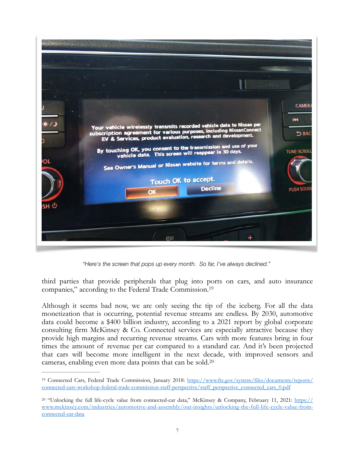

*"Here's the screen that pops up every month. So far, I've always declined."*

<span id="page-7-2"></span>third parties that provide peripherals that plug into ports on cars, and auto insurance companies," according to the Federal Trade Commission[.19](#page-7-0)

Although it seems bad now, we are only seeing the tip of the iceberg. For all the data monetization that is occurring, potential revenue streams are endless. By 2030, automotive data could become a \$400 billion industry, according to a 2021 report by global corporate consulting firm McKinsey & Co. Connected services are especially attractive because they provide high margins and recurring revenue streams. Cars with more features bring in four times the amount of revenue per car compared to a standard car. And it's been projected that cars will become more intelligent in the next decade, with improved sensors and cameras, enabling even more data points that can be sold[.20](#page-7-1)

<span id="page-7-3"></span><span id="page-7-0"></span>[<sup>19</sup>](#page-7-2) [Connected Cars, Federal Trade Commission, January 2018: https://www.ftc.gov/system/files/documents/reports/](https://www.ftc.gov/system/files/documents/reports/connected-cars-workshop-federal-trade-commission-staff-perspective/staff_perspective_connected_cars_0.pdf) [connected-cars-workshop-federal-trade-commission-staff-perspective/staff\\_perspective\\_connected\\_cars\\_0.pdf](https://www.ftc.gov/system/files/documents/reports/connected-cars-workshop-federal-trade-commission-staff-perspective/staff_perspective_connected_cars_0.pdf)

<span id="page-7-1"></span><sup>&</sup>lt;sup>[20](#page-7-3)</sup> "Unlocking the full life-cycle value from connected-car data," McKinsey & Company, February 11, 2021: [https://](https://www.mckinsey.com/industries/automotive-and-assembly/our-insights/unlocking-the-full-life-cycle-value-from-connected-car-data) [www.mckinsey.com/industries/automotive-and-assembly/our-insights/unlocking-the-full-life-cycle-value-from](https://www.mckinsey.com/industries/automotive-and-assembly/our-insights/unlocking-the-full-life-cycle-value-from-connected-car-data)[connected-car-data](https://www.mckinsey.com/industries/automotive-and-assembly/our-insights/unlocking-the-full-life-cycle-value-from-connected-car-data)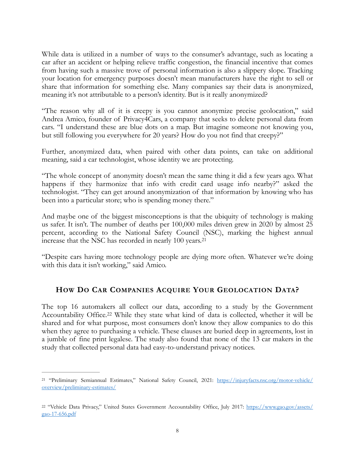While data is utilized in a number of ways to the consumer's advantage, such as locating a car after an accident or helping relieve traffic congestion, the financial incentive that comes from having such a massive trove of personal information is also a slippery slope. Tracking your location for emergency purposes doesn't mean manufacturers have the right to sell or share that information for something else. Many companies say their data is anonymized, meaning it's not attributable to a person's identity. But is it really anonymized?

"The reason why all of it is creepy is you cannot anonymize precise geolocation," said Andrea Amico, founder of Privacy4Cars, a company that seeks to delete personal data from cars. "I understand these are blue dots on a map. But imagine someone not knowing you, but still following you everywhere for 20 years? How do you not find that creepy?"

Further, anonymized data, when paired with other data points, can take on additional meaning, said a car technologist, whose identity we are protecting.

"The whole concept of anonymity doesn't mean the same thing it did a few years ago. What happens if they harmonize that info with credit card usage info nearby?" asked the technologist. "They can get around anonymization of that information by knowing who has been into a particular store; who is spending money there."

And maybe one of the biggest misconceptions is that the ubiquity of technology is making us safer. It isn't. The number of deaths per 100,000 miles driven grew in 2020 by almost 25 percent, according to the National Safety Council (NSC), marking the highest annual increase that the NSC has recorded in nearly 100 years.[21](#page-8-1)

"Despite cars having more technology people are dying more often. Whatever we're doing with this data it isn't working," said Amico.

# <span id="page-8-4"></span><span id="page-8-3"></span><span id="page-8-0"></span>**HOW DO CAR COMPANIES ACQUIRE YOUR GEOLOCATION DATA?**

The top 16 automakers all collect our data, according to a study by the Government AccountabilityOffice.<sup>[22](#page-8-2)</sup> While they state what kind of data is collected, whether it will be shared and for what purpose, most consumers don't know they allow companies to do this when they agree to purchasing a vehicle. These clauses are buried deep in agreements, lost in a jumble of fine print legalese. The study also found that none of the 13 car makers in the study that collected personal data had easy-to-understand privacy notices.

<span id="page-8-1"></span>[<sup>21</sup>](#page-8-3) "Preliminary Semiannual Estimates," National Safety Council, 2021: [https://injuryfacts.nsc.org/motor-vehicle/](https://injuryfacts.nsc.org/motor-vehicle/overview/preliminary-estimates/) [overview/preliminary-estimates/](https://injuryfacts.nsc.org/motor-vehicle/overview/preliminary-estimates/)

<span id="page-8-2"></span><sup>&</sup>lt;sup>[22](#page-8-4)</sup> "Vehicle Data Privacy," United States Government Accountability Office, July 2017: [https://www.gao.gov/assets/](https://www.gao.gov/assets/gao-17-656.pdf) [gao-17-656.pdf](https://www.gao.gov/assets/gao-17-656.pdf)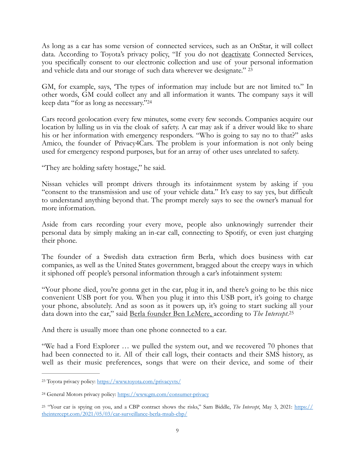As long as a car has some version of connected services, such as an OnStar, it will collect data. According to Toyota's privacy policy, "If you do not deactivate Connected Services, you specifically consent to our electronic collection and use of your personal information and vehicle data and our storage of such data wherever we designate." [23](#page-9-0)

<span id="page-9-4"></span><span id="page-9-3"></span>GM, for example, says, 'The types of information may include but are not limited to." In other words, GM could collect any and all information it wants. The company says it will keep data "for as long as necessary."[24](#page-9-1)

Cars record geolocation every few minutes, some every few seconds. Companies acquire our location by lulling us in via the cloak of safety. A car may ask if a driver would like to share his or her information with emergency responders. "Who is going to say no to that?" asks Amico, the founder of Privacy4Cars. The problem is your information is not only being used for emergency respond purposes, but for an array of other uses unrelated to safety.

"They are holding safety hostage," he said.

Nissan vehicles will prompt drivers through its infotainment system by asking if you "consent to the transmission and use of your vehicle data." It's easy to say yes, but difficult to understand anything beyond that. The prompt merely says to see the owner's manual for more information.

Aside from cars recording your every move, people also unknowingly surrender their personal data by simply making an in-car call, connecting to Spotify, or even just charging their phone.

The founder of a Swedish data extraction firm Berla, which does business with car companies, as well as the United States government, bragged about the creepy ways in which it siphoned off people's personal information through a car's infotainment system:

"Your phone died, you're gonna get in the car, plug it in, and there's going to be this nice convenient USB port for you. When you plug it into this USB port, it's going to charge your phone, absolutely. And as soon as it powers up, it's going to start sucking all your data down into the car," said Berla [founder Ben LeMere,](https://theintercept.com/2021/05/03/car-surveillance-berla-msab-cbp/) according to *The Intercept*.[25](#page-9-2)

<span id="page-9-5"></span>And there is usually more than one phone connected to a car.

"We had a Ford Explorer … we pulled the system out, and we recovered 70 phones that had been connected to it. All of their call logs, their contacts and their SMS history, as well as their music preferences, songs that were on their device, and some of their

<span id="page-9-0"></span>[<sup>23</sup>](#page-9-3) Toyota privacy policy:<https://www.toyota.com/privacyvts/>

<span id="page-9-1"></span>[<sup>24</sup>](#page-9-4) General Motors privacy policy: <https://www.gm.com/consumer-privacy>

<span id="page-9-2"></span>[<sup>25</sup>](#page-9-5) "Your car is spying on you, and a CBP contract shows the risks," Sam Biddle, *The Intercept*, May 3, 2021: [https://](https://theintercept.com/2021/05/03/car-surveillance-berla-msab-cbp/) [theintercept.com/2021/05/03/car-surveillance-berla-msab-cbp/](https://theintercept.com/2021/05/03/car-surveillance-berla-msab-cbp/)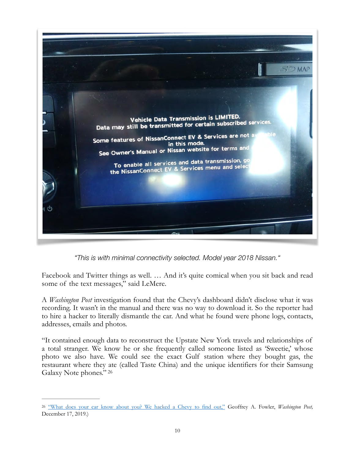

*"This is with minimal connectivity selected. Model year 2018 Nissan."*

Facebook and Twitter things as well. … And it's quite comical when you sit back and read some of the text messages," said LeMere.

A *Washington Post* investigation found that the Chevy's dashboard didn't disclose what it was recording. It wasn't in the manual and there was no way to download it. So the reporter had to hire a hacker to literally dismantle the car. And what he found were phone logs, contacts, addresses, emails and photos.

<span id="page-10-1"></span>"It contained enough data to reconstruct the Upstate New York travels and relationships of a total stranger. We know he or she frequently called someone listed as 'Sweetie,' whose photo we also have. We could see the exact Gulf station where they bought gas, the restaurant where they ate (called Taste China) and the unique identifiers for their Samsung Galaxy Note phones." [26](#page-10-0)

<span id="page-10-0"></span><sup>&</sup>lt;sup>26</sup> ["What does your car know about you? We hacked a Chevy to find out,"](https://www.washingtonpost.com/technology/2019/12/17/what-does-your-car-know-about-you-we-hacked-chevy-find-out/) Geoffrey A. Fowler, *Washington Post*, December 17, 2019.)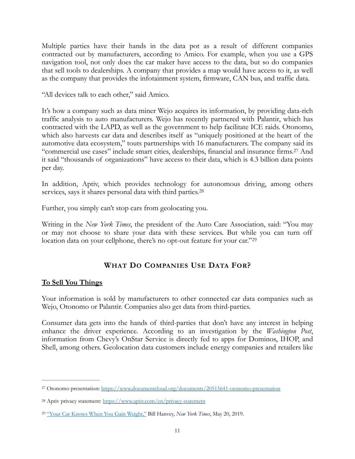Multiple parties have their hands in the data pot as a result of different companies contracted out by manufacturers, according to Amico. For example, when you use a GPS navigation tool, not only does the car maker have access to the data, but so do companies that sell tools to dealerships. A company that provides a map would have access to it, as well as the company that provides the infotainment system, firmware, CAN bus, and traffic data.

"All devices talk to each other," said Amico.

It's how a company such as data miner Wejo acquires its information, by providing data-rich traffic analysis to auto manufacturers. Wejo has recently partnered with Palantir, which has contracted with the LAPD, as well as the government to help facilitate ICE raids. Otonomo, which also harvests car data and describes itself as "uniquely positioned at the heart of the automotive data ecosystem," touts partnerships with 16 manufacturers. The company said its "commercialuse cases" include smart cities, dealerships, financial and insurance firms.<sup>[27](#page-11-1)</sup> And it said "thousands of organizations" have access to their data, which is 4.3 billion data points per day.

In addition, Aptiv, which provides technology for autonomous driving, among others services, says it shares personal data with third parties.<sup>[28](#page-11-2)</sup>

Further, you simply can't stop cars from geolocating you.

Writing in the *New York Times*, the president of the Auto Care Association, said: "You may or may not choose to share your data with these services. But while you can turn off location data on your cellphone, there's no opt-out feature for your car."[29](#page-11-3)

# <span id="page-11-6"></span><span id="page-11-5"></span><span id="page-11-4"></span><span id="page-11-0"></span>**WHAT DO COMPANIES USE DATA FOR?**

#### **To Sell You Things**

Your information is sold by manufacturers to other connected car data companies such as Wejo, Otonomo or Palantir. Companies also get data from third-parties.

Consumer data gets into the hands of third-parties that don't have any interest in helping enhance the driver experience. According to an investigation by the *Washington Post*, information from Chevy's OnStar Service is directly fed to apps for Dominos, IHOP, and Shell, among others. Geolocation data customers include energy companies and retailers like

<span id="page-11-1"></span>[<sup>27</sup>](#page-11-4) Otonomo presentation: <https://www.documentcloud.org/documents/20515641-otonomo-presentation>

<span id="page-11-2"></span><sup>&</sup>lt;sup>28</sup> Aptiv privacy statement:<https://www.aptiv.com/en/privacy-statement>

<span id="page-11-3"></span><sup>&</sup>lt;sup>29</sup> ["Your Car Knows When You Gain Weight,"](https://www.nytimes.com/2019/05/20/opinion/car-repair-data-privacy.html#:~:text=Cars%2520not%2520only%2520know%2520how,call%2520and%2520who%2520we%2520text.) Bill Hanvey, *New York Times*, May 20, 2019.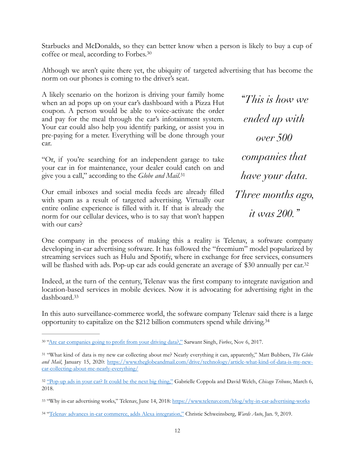Starbucks and McDonalds, so they can better know when a person is likely to buy a cup of coffee or meal, according to Forbes[.30](#page-12-0)

Although we aren't quite there yet, the ubiquity of targeted advertising that has become the norm on our phones is coming to the driver's seat.

A likely scenario on the horizon is driving your family home when an ad pops up on your car's dashboard with a Pizza Hut coupon. A person would be able to voice-activate the order and pay for the meal through the car's infotainment system. Your car could also help you identify parking, or assist you in pre-paying for a meter. Everything will be done through your car.

"Or, if you're searching for an independent garage to take your car in for maintenance, your dealer could catch on and give you a call," according to the *Globe and Mail.*[31](#page-12-1)

Our email inboxes and social media feeds are already filled with spam as a result of targeted advertising. Virtually our entire online experience is filled with it. If that is already the norm for our cellular devices, who is to say that won't happen with our cars?

<span id="page-12-7"></span><span id="page-12-6"></span><span id="page-12-5"></span>*"This is how we ended up with over 500 companies that have your data. Three months ago, it was 200."*

One company in the process of making this a reality is Telenav, a software company developing in-car advertising software. It has followed the "freemium" model popularized by streaming services such as Hulu and Spotify, where in exchange for free services, consumers will be flashed with ads. Pop-up car ads could generate an average of \$30 annually per car.<sup>32</sup>

<span id="page-12-8"></span>Indeed, at the turn of the century, Telenav was the first company to integrate navigation and location-based services in mobile devices. Now it is advocating for advertising right in the dashboard[.33](#page-12-3)

<span id="page-12-9"></span>In this auto surveillance-commerce world, the software company Telenav said there is a large opportunity to capitalize on the \$212 billion commuters spend while driving.[34](#page-12-4)

<span id="page-12-0"></span><sup>&</sup>lt;sup>30</sup> ["Are car companies going to profit from your driving data?,"](https://www.forbes.com/sites/sarwantsingh/2017/11/06/are-car-companies-going-to-profit-from-your-driving-data/?sh=1562ad88143c) Sarwant Singh, *Forbes*, Nov 6, 2017.

<span id="page-12-1"></span> <sup>&</sup>quot;What kind of data is my new car collecting about me? Nearly everything it can, apparently," Matt Bubbers, *The Globe* [31](#page-12-6) *and Mail*[, January 15, 2020: https://www.theglobeandmail.com/drive/technology/article-what-kind-of-data-is-my-new](https://www.theglobeandmail.com/drive/technology/article-what-kind-of-data-is-my-new-car-collecting-about-me-nearly-everything/)[car-collecting-about-me-nearly-everything/](https://www.theglobeandmail.com/drive/technology/article-what-kind-of-data-is-my-new-car-collecting-about-me-nearly-everything/)

<span id="page-12-2"></span><sup>&</sup>lt;sup>32</sup> ["Pop-up ads in your car? It could be the next big thing,"](https://www.chicagotribune.com/autos/sc-auto-cover-in-car-advertising-20180305-story.html) Gabrielle Coppola and David Welch, *Chicago Tribune*, March 6, 2018.

<span id="page-12-3"></span><sup>33 &</sup>quot;Why in-car advertising works," Telenav, June 14, 2018:<https://www.telenav.com/blog/why-in-car-advertising-works>

<span id="page-12-4"></span><sup>34</sup> ["Telenav advances in-car commerce, adds Alexa integration,"](https://www.wardsauto.com/ces/telenav-advances-car-commerce-adds-alexa-integration) Christie Schweinsberg, *Wards Auto*, Jan. 9, 2019.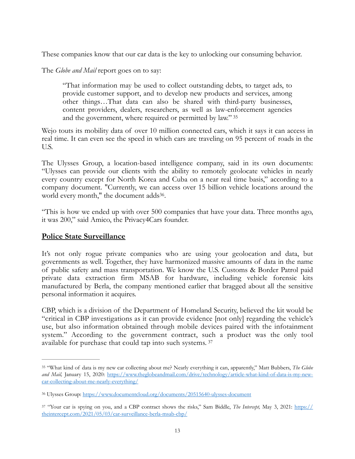These companies know that our car data is the key to unlocking our consuming behavior.

The *Globe and Mail* report goes on to say:

<span id="page-13-3"></span>"That information may be used to collect outstanding debts, to target ads, to provide customer support, and to develop new products and services, among other things…That data can also be shared with third-party businesses, content providers, dealers, researchers, as well as law-enforcement agencies and the government, where required or permitted by law." [35](#page-13-0)

Wejo touts its mobility data of over 10 million connected cars, which it says it can access in real time. It can even see the speed in which cars are traveling on 95 percent of roads in the U.S.

The Ulysses Group, a location-based intelligence company, said in its own documents: "Ulysses can provide our clients with the ability to remotely geolocate vehicles in nearly every country except for North Korea and Cuba on a near real time basis," according to a company document. "Currently, we can access over 15 billion vehicle locations around the world every month," the document adds<sup>[36](#page-13-1)</sup>.

<span id="page-13-4"></span>"This is how we ended up with over 500 companies that have your data. Three months ago, it was 200," said Amico, the Privacy4Cars founder.

#### **Police State Surveillance**

It's not only rogue private companies who are using your geolocation and data, but governments as well. Together, they have harmonized massive amounts of data in the name of public safety and mass transportation. We know the U.S. Customs & Border Patrol paid private data extraction firm MSAB for hardware, including vehicle forensic kits manufactured by Berla, the company mentioned earlier that bragged about all the sensitive personal information it acquires.

CBP, which is a division of the Department of Homeland Security, believed the kit would be "critical in CBP investigations as it can provide evidence [not only] regarding the vehicle's use, but also information obtained through mobile devices paired with the infotainment system." According to the government contract, such a product was the only tool available for purchase that could tap into such systems. [37](#page-13-2)

<span id="page-13-5"></span><span id="page-13-0"></span> <sup>&</sup>quot;What kind of data is my new car collecting about me? Nearly everything it can, apparently," Matt Bubbers, *The Globe* [35](#page-13-3) *and Mail,* [January 15, 2020: https://www.theglobeandmail.com/drive/technology/article-what-kind-of-data-is-my-new](https://www.theglobeandmail.com/drive/technology/article-what-kind-of-data-is-my-new-car-collecting-about-me-nearly-everything/)[car-collecting-about-me-nearly-everything/](https://www.theglobeandmail.com/drive/technology/article-what-kind-of-data-is-my-new-car-collecting-about-me-nearly-everything/)

<span id="page-13-1"></span>Ulysses Group: <https://www.documentcloud.org/documents/20515640-ulysses-document> [36](#page-13-4)

<span id="page-13-2"></span>[<sup>37</sup>](#page-13-5) "Your car is spying on you, and a CBP contract shows the risks," Sam Biddle, *The Intercept,* May 3, 2021: [https://](https://theintercept.com/2021/05/03/car-surveillance-berla-msab-cbp/) [theintercept.com/2021/05/03/car-surveillance-berla-msab-cbp/](https://theintercept.com/2021/05/03/car-surveillance-berla-msab-cbp/)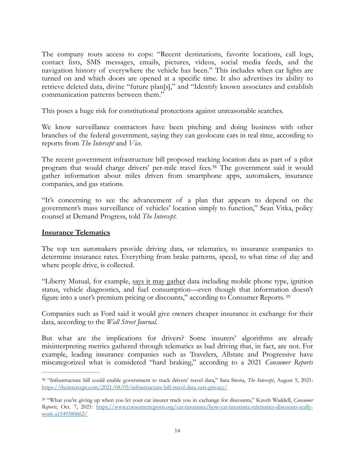The company touts access to cops: "Recent destinations, favorite locations, call logs, contact lists, SMS messages, emails, pictures, videos, social media feeds, and the navigation history of everywhere the vehicle has been." This includes when car lights are turned on and which doors are opened at a specific time. It also advertises its ability to retrieve deleted data, divine "future plan[s]," and "Identify known associates and establish communication patterns between them."

This poses a huge risk for constitutional protections against unreasonable searches.

We know surveillance contractors have been pitching and doing business with other branches of the federal government, saying they can geolocate cars in real time, according to reports from *The Intercept* and *Vice*.

<span id="page-14-2"></span>The recent government infrastructure bill proposed tracking location data as part of a pilot programthat would charge drivers' per-mile travel fees.<sup>[38](#page-14-0)</sup> The government said it would gather information about miles driven from smartphone apps, automakers, insurance companies, and gas stations.

"It's concerning to see the advancement of a plan that appears to depend on the government's mass surveillance of vehicles' location simply to function," Sean Vitka, policy counsel at Demand Progress, told *The Intercept*.

#### **Insurance Telematics**

The top ten automakers provide driving data, or telematics, to insurance companies to determine insurance rates. Everything from brake patterns, speed, to what time of day and where people drive, is collected.

<span id="page-14-3"></span>"Liberty Mutual, for example, [says it may gather](https://www.libertymutual.com/telematics-data) data including mobile phone type, ignition status, vehicle diagnostics, and fuel consumption—even though that information doesn't figure into a user's premium pricing or discounts," according to Consumer Reports. [39](#page-14-1)

Companies such as Ford said it would give owners cheaper insurance in exchange for their data, according to the *Wall Street Journal*.

But what are the implications for drivers? Some insurers' algorithms are already misinterpreting metrics gathered through telematics as bad driving that, in fact, are not. For example, leading insurance companies such as Travelers, Allstate and Progressive have miscategorized what is considered "hard braking," according to a 2021 *Consumer Reports* 

<span id="page-14-0"></span> <sup>&</sup>quot;Infrastructure bill could enable government to track drivers' travel data," Sara Sirota, *The Intercept*, August 5, 2021: [38](#page-14-2) <https://theintercept.com/2021/08/05/infrastructure-bill-travel-data-cars-privacy/>

<span id="page-14-1"></span> <sup>&</sup>quot;What you're giving up when you let your car insurer track you in exchange for discounts," Kaveh Waddell, *Consumer* [39](#page-14-3) *Reports*, Oct. 7, 2021: [https://www.consumerreports.org/car-insurance/how-car-insurance-telematics-discounts-really](https://www.consumerreports.org/car-insurance/how-car-insurance-telematics-discounts-really-work-a1549580662/)[work-a1549580662/](https://www.consumerreports.org/car-insurance/how-car-insurance-telematics-discounts-really-work-a1549580662/)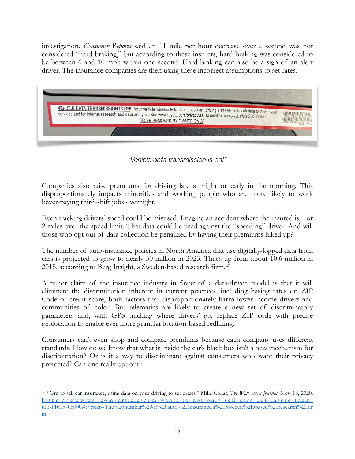investigation. *Consumer Reports* said an 11 mile per hour decrease over a second was not considered "hard braking," but according to these insurers, hard braking was considered to be between 6 and 10 mph within one second. Hard braking can also be a sign of an alert driver. The insurance companies are then using these incorrect assumptions to set rates.



<span id="page-15-1"></span>*"Vehicle data transmission is on!"* 

Companies also raise premiums for driving late at night or early in the morning. This disproportionately impacts minorities and working people who are more likely to work lower-paying third-shift jobs overnight.

Even tracking drivers' speed could be misused. Imagine an accident where the insured is 1 or 2 miles over the speed limit. That data could be used against the "speeding" driver. And will those who opt out of data collection be penalized by having their premiums hiked up?

The number of auto-insurance policies in North America that use digitally-logged data from cars is projected to grow to nearly 50 million in 2023. That's up from about 10.6 million in 2018, according to Berg Insight, a Sweden-based research firm[.40](#page-15-0)

A major claim of the insurance industry in favor of a data-driven model is that it will eliminate the discrimination inherent in current practices, including basing rates on ZIP Code or credit score, both factors that disproportionately harm lower-income drivers and communities of color. But telematics are likely to create a new set of discriminatory parameters and, with GPS tracking where drivers' go, replace ZIP code with precise geolocation to enable ever more granular location-based redlining.

Consumers can't even shop and compare premiums because each company uses different standards. How do we know that what is inside the car's black box isn't a new mechanism for discrimination? Or is it a way to discriminate against consumers who want their privacy protected? Can one really opt out?

<span id="page-15-0"></span><sup>&</sup>lt;sup>[40](#page-15-1)</sup> "Gm to sell car insurance, using data on your driving to set prices," Mike Colias, *The Wall Street Journal*, Nov. 18, 2020: [https://www.wsj.com/ar ticles/gm-wants-to-not-only-sell-cars-but-insure-them](https://www.wsj.com/articles/gm-wants-to-not-only-sell-cars-but-insure-them-too-11605708000#:~:text=The%2520number%2520of%2520auto%252Dinsurance,a%2520Sweden%252Dbased%2520research%2520firm)too-11605708000#:~:text=The%20number%20of%20auto%2Dinsurance,a%20Sweden%2Dbased%20research%20fir [m.](https://www.wsj.com/articles/gm-wants-to-not-only-sell-cars-but-insure-them-too-11605708000#:~:text=The%2520number%2520of%2520auto%252Dinsurance,a%2520Sweden%252Dbased%2520research%2520firm)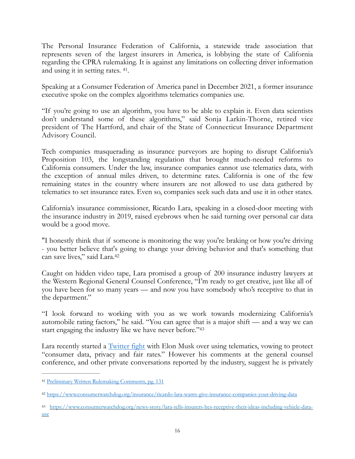The Personal Insurance Federation of California, a statewide trade association that represents seven of the largest insurers in America, is lobbying the state of California regarding the CPRA rulemaking. It is against any limitations on collecting driver information and using it in setting rates. <sup>[41](#page-16-0)</sup>.

<span id="page-16-3"></span>Speaking at a Consumer Federation of America panel in December 2021, a former insurance executive spoke on the complex algorithms telematics companies use.

"If you're going to use an algorithm, you have to be able to explain it. Even data scientists don't understand some of these algorithms," said Sonja Larkin-Thorne, retired vice president of The Hartford, and chair of the State of Connecticut Insurance Department Advisory Council.

Tech companies masquerading as insurance purveyors are hoping to disrupt California's Proposition 103, the longstanding regulation that brought much-needed reforms to California consumers. Under the law, insurance companies cannot use telematics data, with the exception of annual miles driven, to determine rates. California is one of the few remaining states in the country where insurers are not allowed to use data gathered by telematics to set insurance rates. Even so, companies seek such data and use it in other states.

California's insurance commissioner, Ricardo Lara, speaking in a closed-door meeting with the insurance industry in 2019, raised eyebrows when he said turning over personal car data would be a good move.

<span id="page-16-4"></span>"I honestly think that if someone is monitoring the way you're braking or how you're driving - you better believe that's going to change your driving behavior and that's something that can save lives," said Lara.[42](#page-16-1)

Caught on hidden video tape, Lara promised a group of 200 insurance industry lawyers at the Western Regional General Counsel Conference, "I'm ready to get creative, just like all of you have been for so many years — and now you have somebody who's receptive to that in the department."

<span id="page-16-5"></span>"I look forward to working with you as we work towards modernizing California's automobile rating factors,'' he said. "You can agree that is a major shift — and a way we can start engaging the industry like we have never before.["43](#page-16-2)

Lara recently started a **[Twitter fight](https://twitter.com/ICRicardoLara/status/1486801343826194432?s=20&t=aOMacx-z0QYJNjTbphavGQ)** with Elon Musk over using telematics, vowing to protect "consumer data, privacy and fair rates." However his comments at the general counsel conference, and other private conversations reported by the industry, suggest he is privately

<span id="page-16-0"></span>[<sup>41</sup>](#page-16-3) [Preliminary Written Rulemaking Comments, pg. 131](https://cppa.ca.gov/regulations/pdf/preliminary_rulemaking_comments_3.pdf)

<span id="page-16-1"></span><https://www.consumerwatchdog.org/insurance/ricardo-lara-wants-give-insurance-companies-your-driving-data> [42](#page-16-4)

<span id="page-16-2"></span>[https://www.consumerwatchdog.org/news-story/lara-tells-insurers-hes-receptive-their-ideas-including-vehicle-data-](https://www.consumerwatchdog.org/news-story/lara-tells-insurers-hes-receptive-their-ideas-including-vehicle-data-use) [43](#page-16-5) [use](https://www.consumerwatchdog.org/news-story/lara-tells-insurers-hes-receptive-their-ideas-including-vehicle-data-use)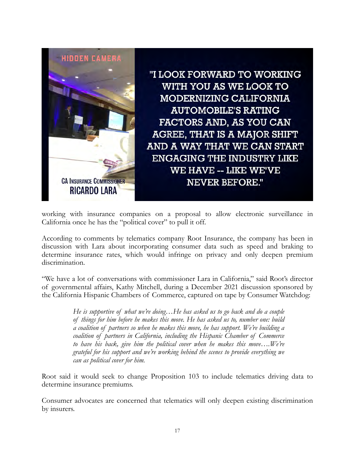

"I LOOK FORWARD TO WORKING WITH YOU AS WE LOOK TO MODERNIZING CALIFORNIA **AUTOMOBILE'S RATING** FACTORS AND, AS YOU CAN AGREE, THAT IS A MAJOR SHIFT AND A WAY THAT WE CAN START **ENGAGING THE INDUSTRY LIKE WE HAVE -- LIKE WE'VE NEVER BEFORE."** 

working with insurance companies on a proposal to allow electronic surveillance in California once he has the "political cover" to pull it off.

According to comments by telematics company Root Insurance, the company has been in discussion with Lara about incorporating consumer data such as speed and braking to determine insurance rates, which would infringe on privacy and only deepen premium discrimination.

"We have a lot of conversations with commissioner Lara in California," said Root's director of governmental affairs, Kathy Mitchell, during a December 2021 discussion sponsored by the California Hispanic Chambers of Commerce, captured on tape by Consumer Watchdog:

> *He is supportive of what we're doing…He has asked us to go back and do a couple of things for him before he makes this move. He has asked us to, number one: build a coalition of partners so when he makes this move, he has support. We're building a coalition of partners in California, including the Hispanic Chamber of Commerce*  to have his back, give him the political cover when he makes this move....We're *grateful for his support and we're working behind the scenes to provide everything we can as political cover for him.*

Root said it would seek to change Proposition 103 to include telematics driving data to determine insurance premiums.

Consumer advocates are concerned that telematics will only deepen existing discrimination by insurers.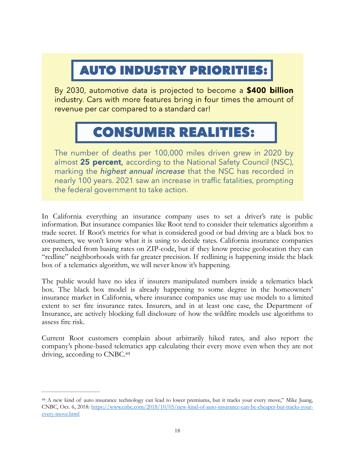# **AUTO INDUSTRY PRIORITIES:**

By 2030, automotive data is projected to become a \$400 billion industry. Cars with more features bring in four times the amount of revenue per car compared to a standard car!

# **CONSUMER REALITIES:**

The number of deaths per 100,000 miles driven grew in 2020 by almost 25 percent, according to the National Safety Council (NSC), marking the *highest annual increase* that the NSC has recorded in nearly 100 years. 2021 saw an increase in traffic fatalities, prompting the federal government to take action.

In California everything an insurance company uses to set a driver's rate is public information. But insurance companies like Root tend to consider their telematics algorithm a trade secret. If Root's metrics for what is considered good or bad driving are a black box to consumers, we won't know what it is using to decide rates. California insurance companies are precluded from basing rates on ZIP-code, but if they know precise geolocation they can "redline" neighborhoods with far greater precision. If redlining is happening inside the black box of a telematics algorithm, we will never know it's happening.

The public would have no idea if insurers manipulated numbers inside a telematics black box. The black box model is already happening to some degree in the homeowners' insurance market in California, where insurance companies use may use models to a limited extent to set fire insurance rates. Insurers, and in at least one case, the Department of Insurance, are actively blocking full disclosure of how the wildfire models use algorithms to assess fire risk.

<span id="page-18-1"></span>Current Root customers complain about arbitrarily hiked rates, and also report the company's phone-based telematics app calculating their every move even when they are not driving, according to CNBC[.44](#page-18-0)

<span id="page-18-0"></span>A new kind of auto insurance technology can lead to lower premiums, but it tracks your every move," Mike Juang, [44](#page-18-1) CNBC, Oct. 6, 2018: [https://www.cnbc.com/2018/10/05/new-kind-of-auto-insurance-can-be-cheaper-but-tracks-your](https://www.cnbc.com/2018/10/05/new-kind-of-auto-insurance-can-be-cheaper-but-tracks-your-every-move.html)[every-move.html](https://www.cnbc.com/2018/10/05/new-kind-of-auto-insurance-can-be-cheaper-but-tracks-your-every-move.html)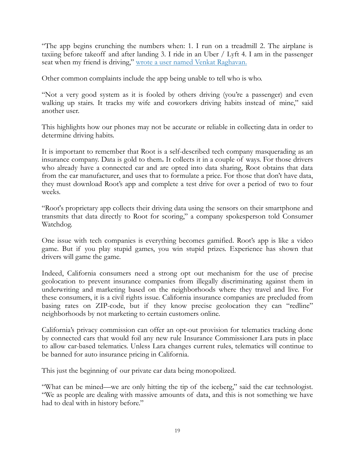"The app begins crunching the numbers when: 1. I run on a treadmill 2. The airplane is taxiing before takeoff and after landing 3. I ride in an Uber / Lyft 4. I am in the passenger seat when my friend is driving," [wrote a user named Venkat Raghavan.](https://play.google.com/store/apps/details?id=com.joinroot.root&hl=en_US&reviewId=gp:AOqpTOEA3KUVfa14Jlhz0xblMuU-upHkKavKawU3mY073gnUaQFkC8Bwzk-9Qr_S-ghj4GCtJheIiRPyiMCudyw)

Other common complaints include the app being unable to tell who is who.

"Not a very good system as it is fooled by others driving (you're a passenger) and even walking up stairs. It tracks my wife and coworkers driving habits instead of mine," said another user.

This highlights how our phones may not be accurate or reliable in collecting data in order to determine driving habits.

It is important to remember that Root is a self-described tech company masquerading as an insurance company. Data is gold to them**.** It collects it in a couple of ways. For those drivers who already have a connected car and are opted into data sharing, Root obtains that data from the car manufacturer, and uses that to formulate a price. For those that don't have data, they must download Root's app and complete a test drive for over a period of two to four weeks.

"Root's proprietary app collects their driving data using the sensors on their smartphone and transmits that data directly to Root for scoring," a company spokesperson told Consumer Watchdog.

One issue with tech companies is everything becomes gamified. Root's app is like a video game. But if you play stupid games, you win stupid prizes. Experience has shown that drivers will game the game.

Indeed, California consumers need a strong opt out mechanism for the use of precise geolocation to prevent insurance companies from illegally discriminating against them in underwriting and marketing based on the neighborhoods where they travel and live. For these consumers, it is a civil rights issue. California insurance companies are precluded from basing rates on ZIP-code, but if they know precise geolocation they can "redline" neighborhoods by not marketing to certain customers online.

California's privacy commission can offer an opt-out provision for telematics tracking done by connected cars that would foil any new rule Insurance Commissioner Lara puts in place to allow car-based telematics. Unless Lara changes current rules, telematics will continue to be banned for auto insurance pricing in California.

This just the beginning of our private car data being monopolized.

"What can be mined—we are only hitting the tip of the iceberg," said the car technologist. "We as people are dealing with massive amounts of data, and this is not something we have had to deal with in history before."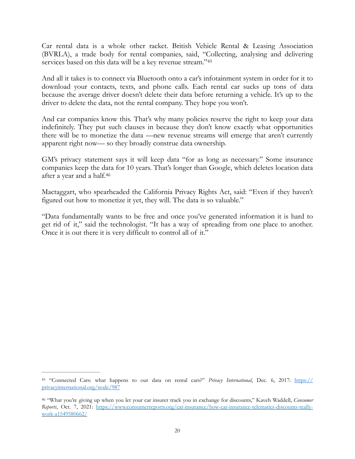<span id="page-20-2"></span>Car rental data is a whole other racket. British Vehicle Rental & Leasing Association (BVRLA), a trade body for rental companies, said, "Collecting, analysing and delivering services based on this data will be a key revenue stream."[45](#page-20-0)

And all it takes is to connect via Bluetooth onto a car's infotainment system in order for it to download your contacts, texts, and phone calls. Each rental car sucks up tons of data because the average driver doesn't delete their data before returning a vehicle. It's up to the driver to delete the data, not the rental company. They hope you won't.

And car companies know this. That's why many policies reserve the right to keep your data indefinitely. They put such clauses in because they don't know exactly what opportunities there will be to monetize the data —new revenue streams will emerge that aren't currently apparent right now— so they broadly construe data ownership.

<span id="page-20-3"></span>GM's privacy statement says it will keep data "for as long as necessary." Some insurance companies keep the data for 10 years. That's longer than Google, which deletes location data after a year and a half[.46](#page-20-1)

Mactaggart, who spearheaded the California Privacy Rights Act, said: "Even if they haven't figured out how to monetize it yet, they will. The data is so valuable."

"Data fundamentally wants to be free and once you've generated information it is hard to get rid of it," said the technologist. "It has a way of spreading from one place to another. Once it is out there it is very difficult to control all of it."

<span id="page-20-0"></span>[<sup>45</sup>](#page-20-2) "Connected Cars: what happens to our data on rental cars?" *Privacy International*, Dec. 6, 2017: [https://](https://privacyinternational.org/node/987) [privacyinternational.org/node/987](https://privacyinternational.org/node/987)

<span id="page-20-1"></span> <sup>&</sup>quot;What you're giving up when you let your car insurer track you in exchange for discounts," Kaveh Waddell, *Consumer* [46](#page-20-3) *Reports*, Oct. 7, 2021: [https://www.consumerreports.org/car-insurance/how-car-insurance-telematics-discounts-really](https://www.consumerreports.org/car-insurance/how-car-insurance-telematics-discounts-really-work-a1549580662/)[work-a1549580662/](https://www.consumerreports.org/car-insurance/how-car-insurance-telematics-discounts-really-work-a1549580662/)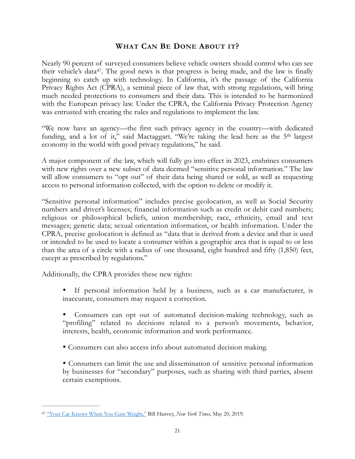## <span id="page-21-2"></span><span id="page-21-0"></span>**WHAT CAN BE DONE ABOUT IT?**

Nearly 90 percent of surveyed consumers believe vehicle owners should control who can see their vehicle's data<sup>[47](#page-21-1)</sup>. The good news is that progress is being made, and the law is finally beginning to catch up with technology. In California, it's the passage of the California Privacy Rights Act (CPRA), a seminal piece of law that, with strong regulations, will bring much needed protections to consumers and their data. This is intended to be harmonized with the European privacy law. Under the CPRA, the California Privacy Protection Agency was entrusted with creating the rules and regulations to implement the law.

"We now have an agency—the first such privacy agency in the country—with dedicated funding, and a lot of it," said Mactaggart. "We're taking the lead here as the 5<sup>th</sup> largest economy in the world with good privacy regulations," he said.

A major component of the law, which will fully go into effect in 2023, enshrines consumers with new rights over a new subset of data deemed "sensitive personal information." The law will allow consumers to "opt out" of their data being shared or sold, as well as requesting access to personal information collected, with the option to delete or modify it.

"Sensitive personal information" includes precise geolocation, as well as Social Security numbers and driver's licenses; financial information such as credit or debit card numbers; religious or philosophical beliefs, union membership; race, ethnicity, email and text messages; genetic data; sexual orientation information, or health information. Under the CPRA, precise geolocation is defined as "data that is derived from a device and that is used or intended to be used to locate a consumer within a geographic area that is equal to or less than the area of a circle with a radius of one thousand, eight hundred and fifty (1,850) feet, except as prescribed by regulations."

Additionally, the CPRA provides these new rights:

- If personal information held by a business, such as a car manufacturer, is inaccurate, consumers may request a correction.
- Consumers can opt out of automated decision-making technology, such as "profiling" related to decisions related to a person's movements, behavior, interests, health, economic information and work performance.
- Consumers can also access info about automated decision making.

• Consumers can limit the use and dissemination of sensitive personal information by businesses for "secondary" purposes, such as sharing with third parties, absent certain exemptions.

<span id="page-21-1"></span>[<sup>&</sup>quot;Your Car Knows When You Gain Weight,"](https://www.nytimes.com/2019/05/20/opinion/car-repair-data-privacy.html#:~:text=Cars%2520not%2520only%2520know%2520how,call%2520and%2520who%2520we%2520text.) Bill Hanvey, *New York Times*, May 20, 2019. [47](#page-21-2)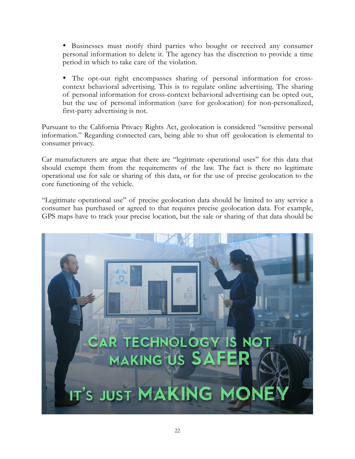• Businesses must notify third parties who bought or received any consumer personal information to delete it. The agency has the discretion to provide a time period in which to take care of the violation.

• The opt-out right encompasses sharing of personal information for crosscontext behavioral advertising. This is to regulate online advertising. The sharing of personal information for cross-context behavioral advertising can be opted out, but the use of personal information (save for geolocation) for non-personalized, first-party advertising is not.

Pursuant to the California Privacy Rights Act, geolocation is considered "sensitive personal information." Regarding connected cars, being able to shut off geolocation is elemental to consumer privacy.

Car manufacturers are argue that there are "legitimate operational uses" for this data that should exempt them from the requirements of the law. The fact is there no legitimate operational use for sale or sharing of this data, or for the use of precise geolocation to the core functioning of the vehicle.

"Legitimate operational use" of precise geolocation data should be limited to any service a consumer has purchased or agreed to that requires precise geolocation data. For example, GPS maps have to track your precise location, but the sale or sharing of that data should be